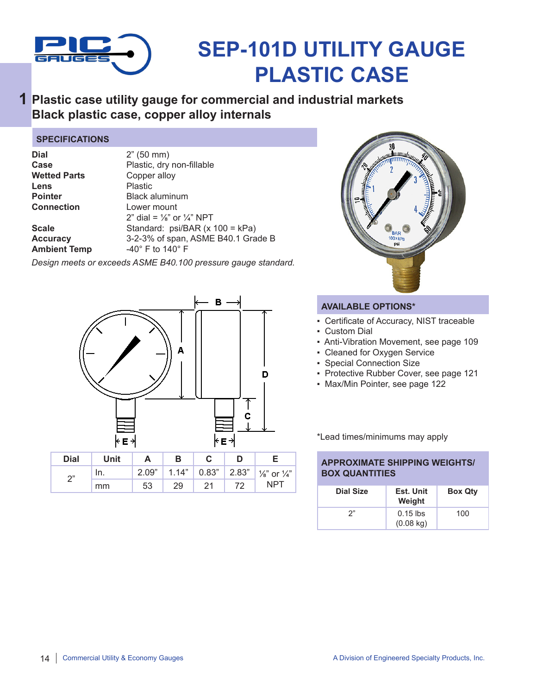

# **SEP-101D UTILITY GAUGE PLASTIC CASE**

## **Plastic case utility gauge for commercial and industrial markets 1 Black plastic case, copper alloy internals**

#### **SPECIFICATIONS**

| Dial<br>Case<br><b>Wetted Parts</b><br>Lens<br>Pointer<br>Connection | 2" (50 mm)<br>Plastic, dry non-fillable<br>Copper alloy<br>Plastic<br><b>Black aluminum</b><br>Lower mount<br>2" dial = $\frac{1}{8}$ " or $\frac{1}{4}$ " NPT |
|----------------------------------------------------------------------|----------------------------------------------------------------------------------------------------------------------------------------------------------------|
| Scale                                                                | Standard: psi/BAR (x 100 = kPa)                                                                                                                                |
| <b>Accuracy</b>                                                      | 3-2-3% of span, ASME B40.1 Grade B                                                                                                                             |
| <b>Ambient Temp</b>                                                  | $-40^\circ$ F to 140 $^\circ$ F                                                                                                                                |

*Design meets or exceeds ASME B40.100 pressure gauge standard.*





### **AVAILABLE OPTIONS\***

- Certificate of Accuracy, NIST traceable
- Custom Dial
- Anti-Vibration Movement, see page 109
- Cleaned for Oxygen Service
- Special Connection Size
- Protective Rubber Cover, see page 121
- Max/Min Pointer, see page 122

\*Lead times/minimums may apply

#### **APPROXIMATE SHIPPING WEIGHTS/ BOX QUANTITIES**

| <b>Dial Size</b> | Est. Unit<br>Weight               | <b>Box Qty</b> |
|------------------|-----------------------------------|----------------|
| 2"               | $0.15$ lbs<br>$(0.08 \text{ kg})$ | 100            |